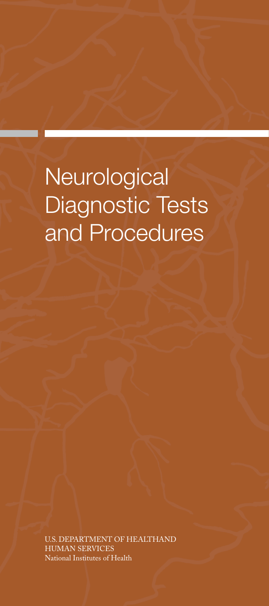# **Neurological** Diagnostic Tests and Procedures

U.S. DEPARTMENT OF HEALTHAND HUMAN SERVICES National Institutes of Health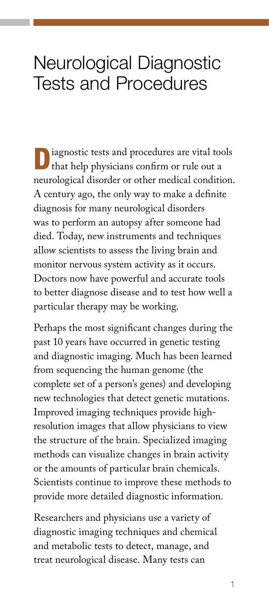# Neurological Diagnostic Tests and Procedures

Diagnostic tests and procedures are vital tools that help physicians confirm or rule out a neurological disorder or other medical condition. A century ago, the only way to make a definite diagnosis for many neurological disorders was to perform an autopsy after someone had died. Today, new instruments and techniques allow scientists to assess the living brain and monitor nervous system activity as it occurs. Doctors now have powerful and accurate tools to better diagnose disease and to test how well a particular therapy may be working.

Perhaps the most significant changes during the past 10 years have occurred in genetic testing and diagnostic imaging. Much has been learned from sequencing the human genome (the complete set of a person's genes) and developing new technologies that detect genetic mutations. Improved imaging techniques provide highresolution images that allow physicians to view the structure of the brain. Specialized imaging methods can visualize changes in brain activity or the amounts of particular brain chemicals. Scientists continue to improve these methods to provide more detailed diagnostic information.

Researchers and physicians use a variety of diagnostic imaging techniques and chemical and metabolic tests to detect, manage, and treat neurological disease. Many tests can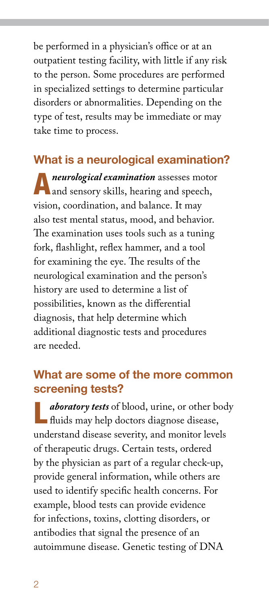be performed in a physician's office or at an outpatient testing facility, with little if any risk to the person. Some procedures are performed in specialized settings to determine particular disorders or abnormalities. Depending on the type of test, results may be immediate or may take time to process.

### What is a neurological examination?

A *neurological examination* assesses motor and sensory skills, hearing and speech, vision, coordination, and balance. It may also test mental status, mood, and behavior. The examination uses tools such as a tuning fork, flashlight, reflex hammer, and a tool for examining the eye. The results of the neurological examination and the person's history are used to determine a list of possibilities, known as the differential diagnosis, that help determine which additional diagnostic tests and procedures are needed.

### What are some of the more common screening tests?

*aboratory tests* of blood, urine, or other body fluids may help doctors diagnose disease, understand disease severity, and monitor levels of therapeutic drugs. Certain tests, ordered by the physician as part of a regular check-up, provide general information, while others are used to identify specific health concerns. For example, blood tests can provide evidence for infections, toxins, clotting disorders, or antibodies that signal the presence of an autoimmune disease. Genetic testing of DNA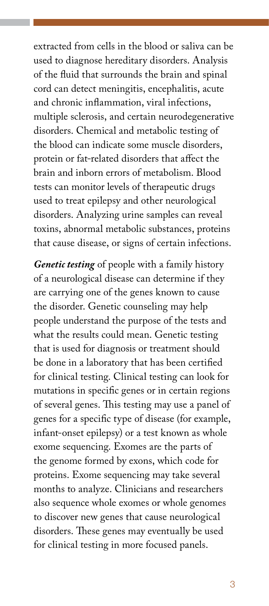extracted from cells in the blood or saliva can be used to diagnose hereditary disorders. Analysis of the fluid that surrounds the brain and spinal cord can detect meningitis, encephalitis, acute and chronic inflammation, viral infections, multiple sclerosis, and certain neurodegenerative disorders. Chemical and metabolic testing of the blood can indicate some muscle disorders, protein or fat-related disorders that affect the brain and inborn errors of metabolism. Blood tests can monitor levels of therapeutic drugs used to treat epilepsy and other neurological disorders. Analyzing urine samples can reveal toxins, abnormal metabolic substances, proteins that cause disease, or signs of certain infections.

*Genetic testing* of people with a family history of a neurological disease can determine if they are carrying one of the genes known to cause the disorder. Genetic counseling may help people understand the purpose of the tests and what the results could mean. Genetic testing that is used for diagnosis or treatment should be done in a laboratory that has been certified for clinical testing. Clinical testing can look for mutations in specific genes or in certain regions of several genes. This testing may use a panel of genes for a specific type of disease (for example, infant-onset epilepsy) or a test known as whole exome sequencing. Exomes are the parts of the genome formed by exons, which code for proteins. Exome sequencing may take several months to analyze. Clinicians and researchers also sequence whole exomes or whole genomes to discover new genes that cause neurological disorders. These genes may eventually be used for clinical testing in more focused panels.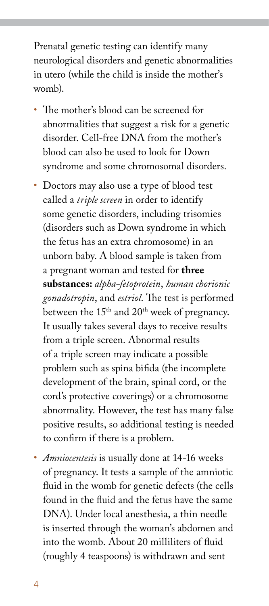Prenatal genetic testing can identify many neurological disorders and genetic abnormalities in utero (while the child is inside the mother's womb).

- The mother's blood can be screened for abnormalities that suggest a risk for a genetic disorder. Cell-free DNA from the mother's blood can also be used to look for Down syndrome and some chromosomal disorders.
- Doctors may also use a type of blood test called a *triple screen* in order to identify some genetic disorders, including trisomies (disorders such as Down syndrome in which the fetus has an extra chromosome) in an unborn baby. A blood sample is taken from a pregnant woman and tested for **three substances:** *alpha-fetoprotein*, *human chorionic gonadotropin*, and *estriol*. The test is performed between the 15<sup>th</sup> and 20<sup>th</sup> week of pregnancy. It usually takes several days to receive results from a triple screen. Abnormal results of a triple screen may indicate a possible problem such as spina bifida (the incomplete development of the brain, spinal cord, or the cord's protective coverings) or a chromosome abnormality. However, the test has many false positive results, so additional testing is needed to confirm if there is a problem.
- *Amniocentesis* is usually done at 14-16 weeks of pregnancy. It tests a sample of the amniotic fluid in the womb for genetic defects (the cells found in the fluid and the fetus have the same DNA). Under local anesthesia, a thin needle is inserted through the woman's abdomen and into the womb. About 20 milliliters of fluid (roughly 4 teaspoons) is withdrawn and sent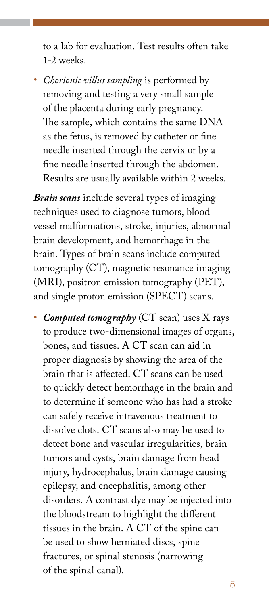to a lab for evaluation. Test results often take 1-2 weeks.

• *Chorionic villus sampling* is performed by removing and testing a very small sample of the placenta during early pregnancy. The sample, which contains the same DNA as the fetus, is removed by catheter or fine needle inserted through the cervix or by a fine needle inserted through the abdomen. Results are usually available within 2 weeks.

*Brain scans* include several types of imaging techniques used to diagnose tumors, blood vessel malformations, stroke, injuries, abnormal brain development, and hemorrhage in the brain. Types of brain scans include computed tomography (CT), magnetic resonance imaging (MRI), positron emission tomography (PET), and single proton emission (SPECT) scans.

• *Computed tomography* (CT scan) uses X-rays to produce two-dimensional images of organs, bones, and tissues. A CT scan can aid in proper diagnosis by showing the area of the brain that is affected. CT scans can be used to quickly detect hemorrhage in the brain and to determine if someone who has had a stroke can safely receive intravenous treatment to dissolve clots. CT scans also may be used to detect bone and vascular irregularities, brain tumors and cysts, brain damage from head injury, hydrocephalus, brain damage causing epilepsy, and encephalitis, among other disorders. A contrast dye may be injected into the bloodstream to highlight the different tissues in the brain. A CT of the spine can be used to show herniated discs, spine fractures, or spinal stenosis (narrowing of the spinal canal).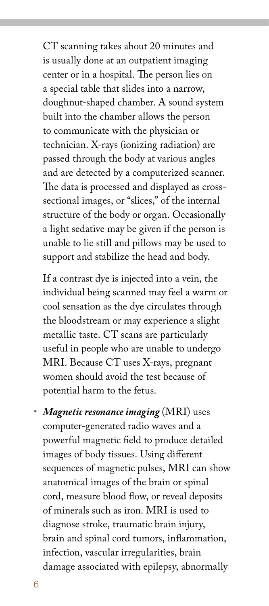CT scanning takes about 20 minutes and is usually done at an outpatient imaging center or in a hospital. The person lies on a special table that slides into a narrow, doughnut-shaped chamber. A sound system built into the chamber allows the person to communicate with the physician or technician. X-rays (ionizing radiation) are passed through the body at various angles and are detected by a computerized scanner. The data is processed and displayed as crosssectional images, or "slices," of the internal structure of the body or organ. Occasionally a light sedative may be given if the person is unable to lie still and pillows may be used to support and stabilize the head and body.

If a contrast dye is injected into a vein, the individual being scanned may feel a warm or cool sensation as the dye circulates through the bloodstream or may experience a slight metallic taste. CT scans are particularly useful in people who are unable to undergo MRI. Because CT uses X-rays, pregnant women should avoid the test because of potential harm to the fetus.

• *Magnetic resonance imaging* (MRI) uses computer-generated radio waves and a powerful magnetic field to produce detailed images of body tissues. Using different sequences of magnetic pulses, MRI can show anatomical images of the brain or spinal cord, measure blood flow, or reveal deposits of minerals such as iron. MRI is used to diagnose stroke, traumatic brain injury, brain and spinal cord tumors, inflammation, infection, vascular irregularities, brain damage associated with epilepsy, abnormally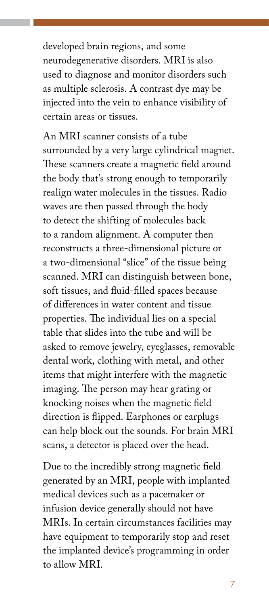developed brain regions, and some neurodegenerative disorders. MRI is also used to diagnose and monitor disorders such as multiple sclerosis. A contrast dye may be injected into the vein to enhance visibility of certain areas or tissues.

An MRI scanner consists of a tube surrounded by a very large cylindrical magnet. These scanners create a magnetic field around the body that's strong enough to temporarily realign water molecules in the tissues. Radio waves are then passed through the body to detect the shifting of molecules back to a random alignment. A computer then reconstructs a three-dimensional picture or a two-dimensional "slice" of the tissue being scanned. MRI can distinguish between bone, soft tissues, and fluid-filled spaces because of differences in water content and tissue properties. The individual lies on a special table that slides into the tube and will be asked to remove jewelry, eyeglasses, removable dental work, clothing with metal, and other items that might interfere with the magnetic imaging. The person may hear grating or knocking noises when the magnetic field direction is flipped. Earphones or earplugs can help block out the sounds. For brain MRI scans, a detector is placed over the head.

Due to the incredibly strong magnetic field generated by an MRI, people with implanted medical devices such as a pacemaker or infusion device generally should not have MRIs. In certain circumstances facilities may have equipment to temporarily stop and reset the implanted device's programming in order to allow MRI.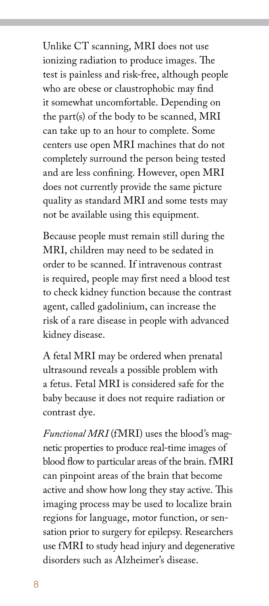Unlike CT scanning, MRI does not use ionizing radiation to produce images. The test is painless and risk-free, although people who are obese or claustrophobic may find it somewhat uncomfortable. Depending on the part(s) of the body to be scanned, MRI can take up to an hour to complete. Some centers use open MRI machines that do not completely surround the person being tested and are less confining. However, open MRI does not currently provide the same picture quality as standard MRI and some tests may not be available using this equipment.

Because people must remain still during the MRI, children may need to be sedated in order to be scanned. If intravenous contrast is required, people may first need a blood test to check kidney function because the contrast agent, called gadolinium, can increase the risk of a rare disease in people with advanced kidney disease.

A fetal MRI may be ordered when prenatal ultrasound reveals a possible problem with a fetus. Fetal MRI is considered safe for the baby because it does not require radiation or contrast dye.

*Functional MRI* (fMRI) uses the blood's magnetic properties to produce real-time images of blood flow to particular areas of the brain. fMRI can pinpoint areas of the brain that become active and show how long they stay active. This imaging process may be used to localize brain regions for language, motor function, or sensation prior to surgery for epilepsy. Researchers use fMRI to study head injury and degenerative disorders such as Alzheimer's disease.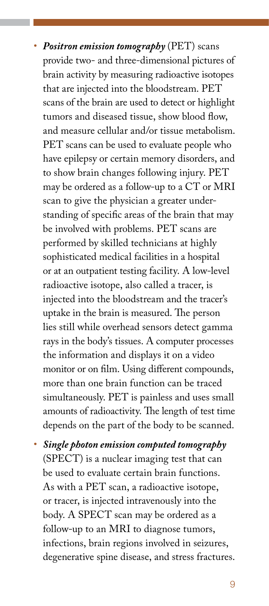- *Positron emission tomography* (PET) scans provide two- and three-dimensional pictures of brain activity by measuring radioactive isotopes that are injected into the bloodstream. PET scans of the brain are used to detect or highlight tumors and diseased tissue, show blood flow, and measure cellular and/or tissue metabolism. PET scans can be used to evaluate people who have epilepsy or certain memory disorders, and to show brain changes following injury. PET may be ordered as a follow-up to a CT or MRI scan to give the physician a greater understanding of specific areas of the brain that may be involved with problems. PET scans are performed by skilled technicians at highly sophisticated medical facilities in a hospital or at an outpatient testing facility. A low-level radioactive isotope, also called a tracer, is injected into the bloodstream and the tracer's uptake in the brain is measured. The person lies still while overhead sensors detect gamma rays in the body's tissues. A computer processes the information and displays it on a video monitor or on film. Using different compounds, more than one brain function can be traced simultaneously. PET is painless and uses small amounts of radioactivity. The length of test time depends on the part of the body to be scanned.
- *Single photon emission computed tomography* (SPECT) is a nuclear imaging test that can be used to evaluate certain brain functions. As with a PET scan, a radioactive isotope, or tracer, is injected intravenously into the body. A SPECT scan may be ordered as a follow-up to an MRI to diagnose tumors, infections, brain regions involved in seizures, degenerative spine disease, and stress fractures.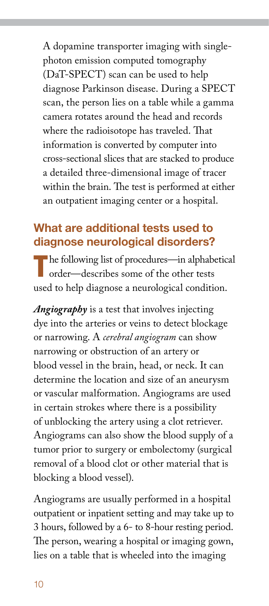A dopamine transporter imaging with singlephoton emission computed tomography (DaT-SPECT) scan can be used to help diagnose Parkinson disease. During a SPECT scan, the person lies on a table while a gamma camera rotates around the head and records where the radioisotope has traveled. That information is converted by computer into cross-sectional slices that are stacked to produce a detailed three-dimensional image of tracer within the brain. The test is performed at either an outpatient imaging center or a hospital.

### What are additional tests used to diagnose neurological disorders?

The following list of procedures—in alphabetical order—describes some of the other tests used to help diagnose a neurological condition.

*Angiography* is a test that involves injecting dye into the arteries or veins to detect blockage or narrowing. A *cerebral angiogram* can show narrowing or obstruction of an artery or blood vessel in the brain, head, or neck. It can determine the location and size of an aneurysm or vascular malformation. Angiograms are used in certain strokes where there is a possibility of unblocking the artery using a clot retriever. Angiograms can also show the blood supply of a tumor prior to surgery or embolectomy (surgical removal of a blood clot or other material that is blocking a blood vessel).

Angiograms are usually performed in a hospital outpatient or inpatient setting and may take up to 3 hours, followed by a 6- to 8-hour resting period. The person, wearing a hospital or imaging gown, lies on a table that is wheeled into the imaging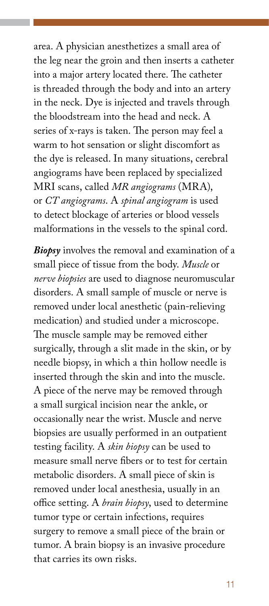area. A physician anesthetizes a small area of the leg near the groin and then inserts a catheter into a major artery located there. The catheter is threaded through the body and into an artery in the neck. Dye is injected and travels through the bloodstream into the head and neck. A series of x-rays is taken. The person may feel a warm to hot sensation or slight discomfort as the dye is released. In many situations, cerebral angiograms have been replaced by specialized MRI scans, called *MR angiograms* (MRA), or *CT angiograms*. A *spinal angiogram* is used to detect blockage of arteries or blood vessels malformations in the vessels to the spinal cord.

*Biopsy* involves the removal and examination of a small piece of tissue from the body. *Muscle* or *nerve biopsies* are used to diagnose neuromuscular disorders. A small sample of muscle or nerve is removed under local anesthetic (pain-relieving medication) and studied under a microscope. The muscle sample may be removed either surgically, through a slit made in the skin, or by needle biopsy, in which a thin hollow needle is inserted through the skin and into the muscle. A piece of the nerve may be removed through a small surgical incision near the ankle, or occasionally near the wrist. Muscle and nerve biopsies are usually performed in an outpatient testing facility. A *skin biopsy* can be used to measure small nerve fibers or to test for certain metabolic disorders. A small piece of skin is removed under local anesthesia, usually in an office setting. A *brain biopsy*, used to determine tumor type or certain infections, requires surgery to remove a small piece of the brain or tumor. A brain biopsy is an invasive procedure that carries its own risks.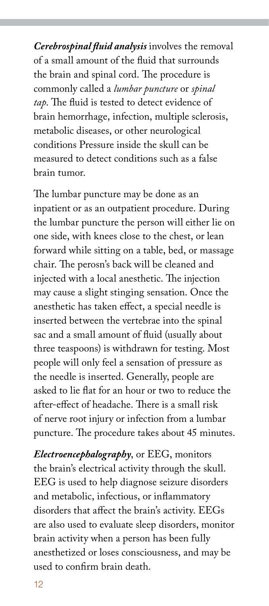*Cerebrospinal fluid analysis* involves the removal of a small amount of the fluid that surrounds the brain and spinal cord. The procedure is commonly called a *lumbar puncture* or *spinal tap*. The fluid is tested to detect evidence of brain hemorrhage, infection, multiple sclerosis, metabolic diseases, or other neurological conditions Pressure inside the skull can be measured to detect conditions such as a false brain tumor.

The lumbar puncture may be done as an inpatient or as an outpatient procedure. During the lumbar puncture the person will either lie on one side, with knees close to the chest, or lean forward while sitting on a table, bed, or massage chair. The perosn's back will be cleaned and injected with a local anesthetic. The injection may cause a slight stinging sensation. Once the anesthetic has taken effect, a special needle is inserted between the vertebrae into the spinal sac and a small amount of fluid (usually about three teaspoons) is withdrawn for testing. Most people will only feel a sensation of pressure as the needle is inserted. Generally, people are asked to lie flat for an hour or two to reduce the after-effect of headache. There is a small risk of nerve root injury or infection from a lumbar puncture. The procedure takes about 45 minutes.

*Electroencephalography*, or EEG, monitors the brain's electrical activity through the skull. EEG is used to help diagnose seizure disorders and metabolic, infectious, or inflammatory disorders that affect the brain's activity. EEGs are also used to evaluate sleep disorders, monitor brain activity when a person has been fully anesthetized or loses consciousness, and may be used to confirm brain death.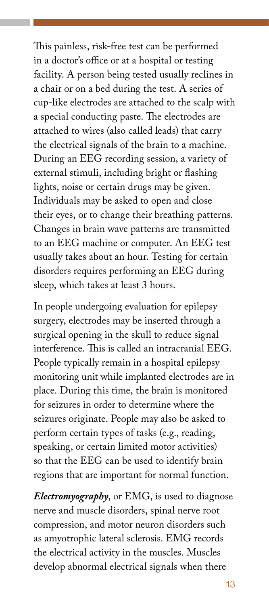This painless, risk-free test can be performed in a doctor's office or at a hospital or testing facility. A person being tested usually reclines in a chair or on a bed during the test. A series of cup-like electrodes are attached to the scalp with a special conducting paste. The electrodes are attached to wires (also called leads) that carry the electrical signals of the brain to a machine. During an EEG recording session, a variety of external stimuli, including bright or flashing lights, noise or certain drugs may be given. Individuals may be asked to open and close their eyes, or to change their breathing patterns. Changes in brain wave patterns are transmitted to an EEG machine or computer. An EEG test usually takes about an hour. Testing for certain disorders requires performing an EEG during sleep, which takes at least 3 hours.

In people undergoing evaluation for epilepsy surgery, electrodes may be inserted through a surgical opening in the skull to reduce signal interference. This is called an intracranial EEG. People typically remain in a hospital epilepsy monitoring unit while implanted electrodes are in place. During this time, the brain is monitored for seizures in order to determine where the seizures originate. People may also be asked to perform certain types of tasks (e.g., reading, speaking, or certain limited motor activities) so that the EEG can be used to identify brain regions that are important for normal function.

*Electromyography*, or EMG, is used to diagnose nerve and muscle disorders, spinal nerve root compression, and motor neuron disorders such as amyotrophic lateral sclerosis. EMG records the electrical activity in the muscles. Muscles develop abnormal electrical signals when there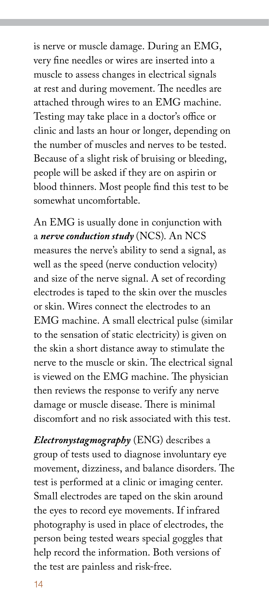is nerve or muscle damage. During an EMG, very fine needles or wires are inserted into a muscle to assess changes in electrical signals at rest and during movement. The needles are attached through wires to an EMG machine. Testing may take place in a doctor's office or clinic and lasts an hour or longer, depending on the number of muscles and nerves to be tested. Because of a slight risk of bruising or bleeding, people will be asked if they are on aspirin or blood thinners. Most people find this test to be somewhat uncomfortable.

An EMG is usually done in conjunction with a *nerve conduction study* (NCS). An NCS measures the nerve's ability to send a signal, as well as the speed (nerve conduction velocity) and size of the nerve signal. A set of recording electrodes is taped to the skin over the muscles or skin. Wires connect the electrodes to an EMG machine. A small electrical pulse (similar to the sensation of static electricity) is given on the skin a short distance away to stimulate the nerve to the muscle or skin. The electrical signal is viewed on the EMG machine. The physician then reviews the response to verify any nerve damage or muscle disease. There is minimal discomfort and no risk associated with this test.

*Electronystagmography* (ENG) describes a group of tests used to diagnose involuntary eye movement, dizziness, and balance disorders. The test is performed at a clinic or imaging center. Small electrodes are taped on the skin around the eyes to record eye movements. If infrared photography is used in place of electrodes, the person being tested wears special goggles that help record the information. Both versions of the test are painless and risk-free.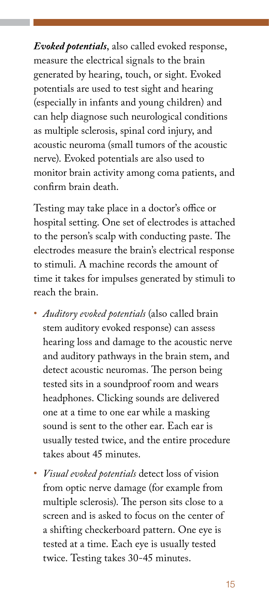*Evoked potentials*, also called evoked response, measure the electrical signals to the brain generated by hearing, touch, or sight. Evoked potentials are used to test sight and hearing (especially in infants and young children) and can help diagnose such neurological conditions as multiple sclerosis, spinal cord injury, and acoustic neuroma (small tumors of the acoustic nerve). Evoked potentials are also used to monitor brain activity among coma patients, and confirm brain death.

Testing may take place in a doctor's office or hospital setting. One set of electrodes is attached to the person's scalp with conducting paste. The electrodes measure the brain's electrical response to stimuli. A machine records the amount of time it takes for impulses generated by stimuli to reach the brain.

- *Auditory evoked potentials* (also called brain stem auditory evoked response) can assess hearing loss and damage to the acoustic nerve and auditory pathways in the brain stem, and detect acoustic neuromas. The person being tested sits in a soundproof room and wears headphones. Clicking sounds are delivered one at a time to one ear while a masking sound is sent to the other ear. Each ear is usually tested twice, and the entire procedure takes about 45 minutes.
- *Visual evoked potentials* detect loss of vision from optic nerve damage (for example from multiple sclerosis). The person sits close to a screen and is asked to focus on the center of a shifting checkerboard pattern. One eye is tested at a time. Each eye is usually tested twice. Testing takes 30-45 minutes.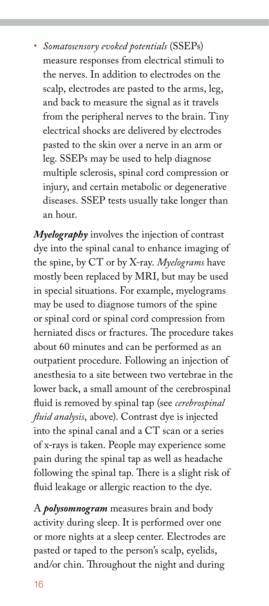• *Somatosensory evoked potentials* (SSEPs) measure responses from electrical stimuli to the nerves. In addition to electrodes on the scalp, electrodes are pasted to the arms, leg, and back to measure the signal as it travels from the peripheral nerves to the brain. Tiny electrical shocks are delivered by electrodes pasted to the skin over a nerve in an arm or leg. SSEPs may be used to help diagnose multiple sclerosis, spinal cord compression or injury, and certain metabolic or degenerative diseases. SSEP tests usually take longer than an hour.

*Myelography* involves the injection of contrast dye into the spinal canal to enhance imaging of the spine, by CT or by X-ray. *Myelograms* have mostly been replaced by MRI, but may be used in special situations. For example, myelograms may be used to diagnose tumors of the spine or spinal cord or spinal cord compression from herniated discs or fractures. The procedure takes about 60 minutes and can be performed as an outpatient procedure. Following an injection of anesthesia to a site between two vertebrae in the lower back, a small amount of the cerebrospinal fluid is removed by spinal tap (see *cerebrospinal fluid analysis*, above). Contrast dye is injected into the spinal canal and a CT scan or a series of x-rays is taken. People may experience some pain during the spinal tap as well as headache following the spinal tap. There is a slight risk of fluid leakage or allergic reaction to the dye.

A *polysomnogram* measures brain and body activity during sleep. It is performed over one or more nights at a sleep center. Electrodes are pasted or taped to the person's scalp, eyelids, and/or chin. Throughout the night and during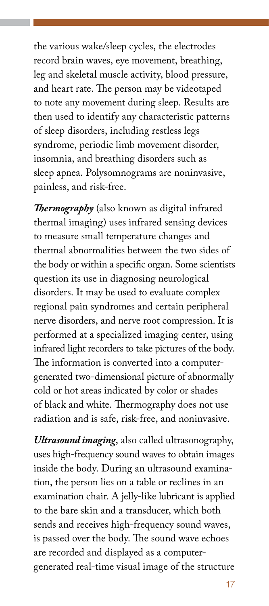the various wake/sleep cycles, the electrodes record brain waves, eye movement, breathing, leg and skeletal muscle activity, blood pressure, and heart rate. The person may be videotaped to note any movement during sleep. Results are then used to identify any characteristic patterns of sleep disorders, including restless legs syndrome, periodic limb movement disorder, insomnia, and breathing disorders such as sleep apnea. Polysomnograms are noninvasive, painless, and risk-free.

*Thermography* (also known as digital infrared thermal imaging) uses infrared sensing devices to measure small temperature changes and thermal abnormalities between the two sides of the body or within a specific organ. Some scientists question its use in diagnosing neurological disorders. It may be used to evaluate complex regional pain syndromes and certain peripheral nerve disorders, and nerve root compression. It is performed at a specialized imaging center, using infrared light recorders to take pictures of the body. The information is converted into a computergenerated two-dimensional picture of abnormally cold or hot areas indicated by color or shades of black and white. Thermography does not use radiation and is safe, risk-free, and noninvasive.

*Ultrasound imaging*, also called ultrasonography, uses high-frequency sound waves to obtain images inside the body. During an ultrasound examination, the person lies on a table or reclines in an examination chair. A jelly-like lubricant is applied to the bare skin and a transducer, which both sends and receives high-frequency sound waves, is passed over the body. The sound wave echoes are recorded and displayed as a computergenerated real-time visual image of the structure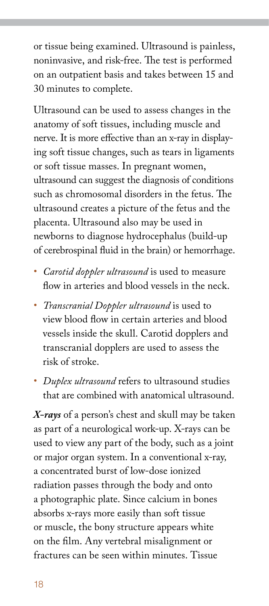or tissue being examined. Ultrasound is painless, noninvasive, and risk-free. The test is performed on an outpatient basis and takes between 15 and 30 minutes to complete.

Ultrasound can be used to assess changes in the anatomy of soft tissues, including muscle and nerve. It is more effective than an x-ray in displaying soft tissue changes, such as tears in ligaments or soft tissue masses. In pregnant women, ultrasound can suggest the diagnosis of conditions such as chromosomal disorders in the fetus. The ultrasound creates a picture of the fetus and the placenta. Ultrasound also may be used in newborns to diagnose hydrocephalus (build-up of cerebrospinal fluid in the brain) or hemorrhage.

- *Carotid doppler ultrasound* is used to measure flow in arteries and blood vessels in the neck.
- *Transcranial Doppler ultrasound* is used to view blood flow in certain arteries and blood vessels inside the skull. Carotid dopplers and transcranial dopplers are used to assess the risk of stroke.
- *Duplex ultrasound* refers to ultrasound studies that are combined with anatomical ultrasound.

*X-rays* of a person's chest and skull may be taken as part of a neurological work-up. X-rays can be used to view any part of the body, such as a joint or major organ system. In a conventional x-ray*,* a concentrated burst of low-dose ionized radiation passes through the body and onto a photographic plate. Since calcium in bones absorbs x-rays more easily than soft tissue or muscle, the bony structure appears white on the film. Any vertebral misalignment or fractures can be seen within minutes. Tissue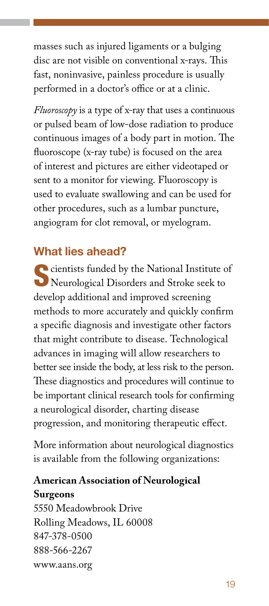masses such as injured ligaments or a bulging disc are not visible on conventional x-rays. This fast, noninvasive, painless procedure is usually performed in a doctor's office or at a clinic.

*Fluoroscopy* is a type of x-ray that uses a continuous or pulsed beam of low-dose radiation to produce continuous images of a body part in motion. The fluoroscope (x-ray tube) is focused on the area of interest and pictures are either videotaped or sent to a monitor for viewing. Fluoroscopy is used to evaluate swallowing and can be used for other procedures, such as a lumbar puncture, angiogram for clot removal, or myelogram.

### What lies ahead?

Constitute funded by the National Institute of Neurological Disorders and Stroke seek to develop additional and improved screening methods to more accurately and quickly confirm a specific diagnosis and investigate other factors that might contribute to disease. Technological advances in imaging will allow researchers to better see inside the body, at less risk to the person. These diagnostics and procedures will continue to be important clinical research tools for confirming a neurological disorder, charting disease progression, and monitoring therapeutic effect.

More information about neurological diagnostics is available from the following organizations:

## **American Association of Neurological Surgeons**

5550 Meadowbrook Drive Rolling Meadows, IL 60008 847-378-0500 888-566-2267 [www.aans.org](http://www.aans.org)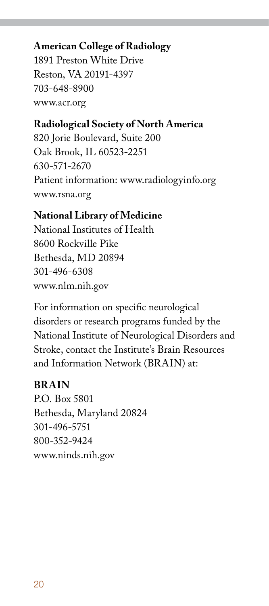### **American College of Radiology**

1891 Preston White Drive Reston, VA 20191-4397 703-648-8900 [www.acr.org](http://www.acr.org)

### **Radiological Society of North America**

820 Jorie Boulevard, Suite 200 Oak Brook, IL 60523-2251 630-571-2670 Patient information: [www.radiologyinfo.org](http://www.radiologyinfo.org) [www.rsna.org](http://www.rsna.org)

### **National Library of Medicine**

National Institutes of Health 8600 Rockville Pike Bethesda, MD 20894 301-496-6308 [www.nlm.nih.gov](http://www.nlm.nih.gov)

For information on specific neurological disorders or research programs funded by the National Institute of Neurological Disorders and Stroke, contact the Institute's Brain Resources and Information Network (BRAIN) at:

### **BRAIN**

P.O. Box 5801 Bethesda, Maryland 20824 301-496-5751 800-352-9424 [www.ninds.nih.gov](http://www.ninds.nih.gov)